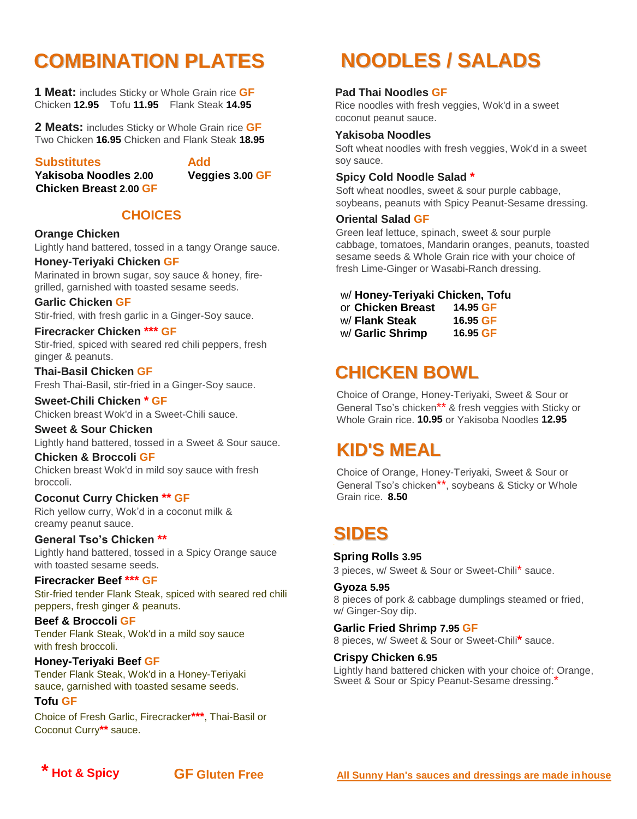## **COMBINATION PLATES**

**1 Meat:** includes Sticky or Whole Grain rice **GF** Chicken **12.95** Tofu **11.95** Flank Steak **14.95**

**2 Meats:** includes Sticky or Whole Grain rice **GF** Two Chicken **16.95** Chicken and Flank Steak **18.95**

#### **Substitutes Add**

 **Yakisoba Noodles 2.00 Veggies 3.00 GF Chicken Breast 2.00 GF**

#### **CHOICES**

#### **Orange Chicken**

Lightly hand battered, tossed in a tangy Orange sauce.

#### **Honey-Teriyaki Chicken GF**

Marinated in brown sugar, soy sauce & honey, firegrilled, garnished with toasted sesame seeds.

#### **Garlic Chicken GF**

Stir-fried, with fresh garlic in a Ginger-Soy sauce.

#### **Firecracker Chicken \*\*\* GF**

Stir-fried, spiced with seared red chili peppers, fresh ginger & peanuts.

**Thai-Basil Chicken GF** Fresh Thai-Basil, stir-fried in a Ginger-Soy sauce.

#### **Sweet-Chili Chicken \* GF**

Chicken breast Wok'd in a Sweet-Chili sauce.

#### **Sweet & Sour Chicken**

Lightly hand battered, tossed in a Sweet & Sour sauce.

#### **Chicken & Broccoli GF**

Chicken breast Wok'd in mild soy sauce with fresh broccoli.

#### **Coconut Curry Chicken \*\* GF**

Rich yellow curry, Wok'd in a coconut milk & creamy peanut sauce.

### **General Tso's Chicken \*\***

Lightly hand battered, tossed in a Spicy Orange sauce with toasted sesame seeds.

#### **Firecracker Beef \*\*\* GF**

Stir-fried tender Flank Steak, spiced with seared red chili peppers, fresh ginger & peanuts.

#### **Beef & Broccoli GF** Tender Flank Steak, Wok'd in a mild soy sauce

with fresh broccoli. **Honey-Teriyaki Beef GF**

Tender Flank Steak, Wok'd in a Honey-Teriyaki sauce, garnished with toasted sesame seeds.

#### **Tofu GF**

Choice of Fresh Garlic, Firecracker**\*\*\***, Thai-Basil or Coconut Curry**\*\*** sauce.

### **NOODLES / SALADS**

#### **Pad Thai Noodles GF**

Rice noodles with fresh veggies, Wok'd in a sweet coconut peanut sauce.

#### **Yakisoba Noodles**

Soft wheat noodles with fresh veggies, Wok'd in a sweet soy sauce.

#### **Spicy Cold Noodle Salad \***

Soft wheat noodles, sweet & sour purple cabbage, soybeans, peanuts with Spicy Peanut-Sesame dressing.

#### **Oriental Salad GF**

Green leaf lettuce, spinach, sweet & sour purple cabbage, tomatoes, Mandarin oranges, peanuts, toasted sesame seeds & Whole Grain rice with your choice of fresh Lime-Ginger or Wasabi-Ranch dressing.

#### w/ **Honey-Teriyaki Chicken, Tofu**

or **Chicken Breast 14.95 GF** w/ **Flank Steak 16.95 GF** w/ **Garlic Shrimp 16.95 GF**

### **CHICKEN BOWL**

Choice of Orange, Honey-Teriyaki, Sweet & Sour or General Tso's chicken\*\* & fresh veggies with Sticky or Whole Grain rice. **10.95** or Yakisoba Noodles **12.95**

### **KID'S MEAL**

Choice of Orange, Honey-Teriyaki, Sweet & Sour or General Tso's chicken\*\*, soybeans & Sticky or Whole Grain rice. **8.50**

### **SIDES**

#### **Spring Rolls 3.95**

3 pieces, w/ Sweet & Sour or Sweet-Chili\* sauce.

#### **Gyoza 5.95**

8 pieces of pork & cabbage dumplings steamed or fried, w/ Ginger-Soy dip.

#### **Garlic Fried Shrimp 7.95 GF**

8 pieces, w/ Sweet & Sour or Sweet-Chili**\*** sauce.

#### **Crispy Chicken 6.95**

Lightly hand battered chicken with your choice of: Orange, Sweet & Sour or Spicy Peanut-Sesame dressing.